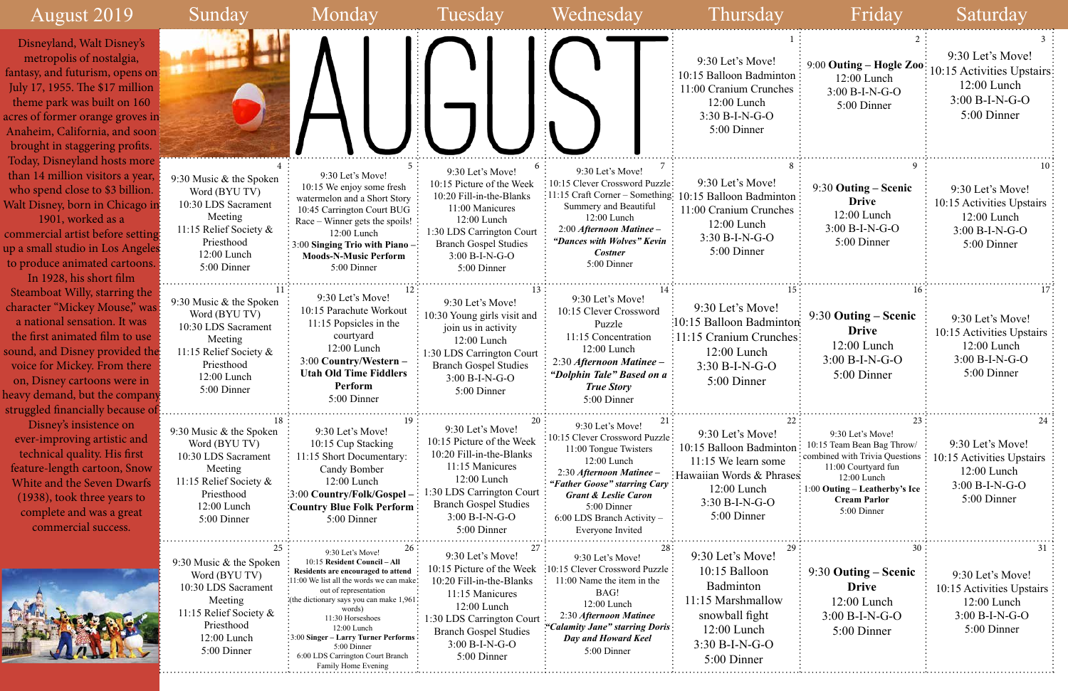| August 2019                                                                                                                                                                                                                                                                                            | Sunday                                                                                                                                                 | Monday                                                                                                                                                                                                                                                                                                                                                                | Tuesday                                                                                                                                                                                                     | Wednesday                                                                                                                                                                                                                                                   | Thursday                                                                                                                                         | Friday                                                                                                                                                                                          | Saturday                                                                                          |
|--------------------------------------------------------------------------------------------------------------------------------------------------------------------------------------------------------------------------------------------------------------------------------------------------------|--------------------------------------------------------------------------------------------------------------------------------------------------------|-----------------------------------------------------------------------------------------------------------------------------------------------------------------------------------------------------------------------------------------------------------------------------------------------------------------------------------------------------------------------|-------------------------------------------------------------------------------------------------------------------------------------------------------------------------------------------------------------|-------------------------------------------------------------------------------------------------------------------------------------------------------------------------------------------------------------------------------------------------------------|--------------------------------------------------------------------------------------------------------------------------------------------------|-------------------------------------------------------------------------------------------------------------------------------------------------------------------------------------------------|---------------------------------------------------------------------------------------------------|
| Disneyland, Walt Disney's<br>metropolis of nostalgia,<br>fantasy, and futurism, opens on<br>July 17, 1955. The \$17 million<br>theme park was built on 160<br>acres of former orange groves in<br>Anaheim, California, and soon<br>brought in staggering profits.                                      |                                                                                                                                                        |                                                                                                                                                                                                                                                                                                                                                                       |                                                                                                                                                                                                             |                                                                                                                                                                                                                                                             | 9:30 Let's Move!<br>10:15 Balloon Badminton:<br>11:00 Cranium Crunches<br>12:00 Lunch<br>$3:30 B-I-N-G-O$<br>5:00 Dinner                         | 9:00 Outing - Hogle Zoo:<br>$12:00$ Lunch<br>$3:00 B-I-N-G-O$<br>5:00 Dinner                                                                                                                    | 9:30 Let's Move!<br>10:15 Activities Upstairs<br>$12:00$ Lunch<br>$3:00 B-I-N-G-O$<br>5:00 Dinner |
| Today, Disneyland hosts more<br>than 14 million visitors a year,<br>who spend close to \$3 billion.<br>Walt Disney, born in Chicago in<br>1901, worked as a<br>commercial artist before setting.<br>up a small studio in Los Angeles<br>to produce animated cartoons.<br>In 1928, his short film       | 9:30 Music & the Spoken<br>Word (BYU TV)<br>10:30 LDS Sacrament<br>Meeting<br>11:15 Relief Society &<br>Priesthood<br>12:00 Lunch<br>5:00 Dinner       | 9:30 Let's Move!<br>10:15 We enjoy some fresh<br>watermelon and a Short Story<br>10:45 Carrington Court BUG<br>Race – Winner gets the spoils!<br>12:00 Lunch<br>3:00 Singing Trio with Piano<br><b>Moods-N-Music Perform</b><br>5:00 Dinner                                                                                                                           | 9:30 Let's Move!<br>10:15 Picture of the Week<br>10:20 Fill-in-the-Blanks<br>11:00 Manicures<br>12:00 Lunch<br>1:30 LDS Carrington Court<br><b>Branch Gospel Studies</b><br>3:00 B-I-N-G-O<br>5:00 Dinner   | 9:30 Let's Move!<br>10:15 Clever Crossword Puzzle:<br>$\frac{1}{2}$ 11:15 Craft Corner – Something:<br>Summery and Beautiful<br>12:00 Lunch<br>$2:00$ Afternoon Matinee -<br>"Dances with Wolves" Kevin<br><b>Costner</b><br>5:00 Dinner                    | 9:30 Let's Move!<br>10:15 Balloon Badminton:<br>1:00 Cranium Crunches<br>12:00 Lunch<br>$3:30 B-I-N-G-O$<br>5:00 Dinner                          | 9:30 Outing – Scenic<br><b>Drive</b><br>12:00 Lunch<br>$3:00 B-I-N-G-O$<br>5:00 Dinner                                                                                                          | 9:30 Let's Move!<br>10:15 Activities Upstairs<br>12:00 Lunch<br>$3:00 B-I-N-G-O$<br>5:00 Dinner   |
| Steamboat Willy, starring the<br>character "Mickey Mouse," was<br>a national sensation. It was<br>the first animated film to use<br>sound, and Disney provided the<br>voice for Mickey. From there<br>on, Disney cartoons were in<br>heavy demand, but the company<br>struggled financially because of | 9:30 Music & the Spoken<br>Word (BYU TV)<br>10:30 LDS Sacrament<br>Meeting<br>11:15 Relief Society &<br>Priesthood<br>12:00 Lunch<br>5:00 Dinner       | 9:30 Let's Move!<br>10:15 Parachute Workout<br>$11:15$ Popsicles in the<br>courtyard<br>12:00 Lunch<br>3:00 Country/Western -<br><b>Utah Old Time Fiddlers</b><br>Perform<br>5:00 Dinner                                                                                                                                                                              | 9:30 Let's Move!<br>10:30 Young girls visit and<br>join us in activity<br>12:00 Lunch<br>1:30 LDS Carrington Court<br><b>Branch Gospel Studies</b><br>$3:00 B-I-N-G-O$<br>5:00 Dinner                       | 9:30 Let's Move!<br>10:15 Clever Crossword<br>Puzzle<br>11:15 Concentration<br>12:00 Lunch<br>2:30 Afternoon Matinee -<br>"Dolphin Tale" Based on a<br><b>True Story</b><br>5:00 Dinner                                                                     | 9:30 Let's Move!<br>:10:15 Balloon Badminton<br>:11:15 Cranium Crunches:<br>$12:00$ Lunch<br>$3:30 B-I-N-G-O$<br>5:00 Dinner                     | 9:30 Outing – Scenic<br><b>Drive</b><br>$12:00$ Lunch<br>$3:00 B-I-N-G-O$<br>5:00 Dinner                                                                                                        | 9:30 Let's Move!<br>10:15 Activities Upstairs<br>12:00 Lunch<br>3:00 B-I-N-G-O<br>5:00 Dinner     |
| Disney's insistence on<br>ever-improving artistic and<br>technical quality. His first<br>feature-length cartoon, Snow<br>White and the Seven Dwarfs<br>(1938), took three years to<br>complete and was a great<br>commercial success.                                                                  | 18<br>9:30 Music & the Spoken<br>Word (BYU TV)<br>10:30 LDS Sacrament<br>Meeting<br>11:15 Relief Society &<br>Priesthood<br>12:00 Lunch<br>5:00 Dinner | 9:30 Let's Move!<br>10:15 Cup Stacking<br>11:15 Short Documentary:<br>Candy Bomber<br>12:00 Lunch<br>:3:00 Country/Folk/Gospel -<br><b>Country Blue Folk Perform</b><br>5:00 Dinner                                                                                                                                                                                   | 9:30 Let's Move!<br>10:15 Picture of the Week<br>10:20 Fill-in-the-Blanks<br>11:15 Manicures<br>12:00 Lunch<br>1:30 LDS Carrington Court<br><b>Branch Gospel Studies</b><br>3:00 B-I-N-G-O<br>5:00 Dinner   | 9:30 Let's Move!<br>10:15 Clever Crossword Puzzle:<br>11:00 Tongue Twisters<br>12:00 Lunch<br>2:30 Afternoon Matinee -<br>"Father Goose" starring Cary:<br><b>Grant &amp; Leslie Caron</b><br>5:00 Dinner<br>6:00 LDS Branch Activity -<br>Everyone Invited | 9:30 Let's Move!<br>10:15 Balloon Badminton<br>11:15 We learn some<br>: Hawaiian Words & Phrases<br>12:00 Lunch<br>3:30 B-I-N-G-O<br>5:00 Dinner | 9:30 Let's Move!<br>10:15 Team Bean Bag Throw/<br>: combined with Trivia Questions<br>11:00 Courtyard fun<br>12:00 Lunch<br>1:00 Outing – Leatherby's Ice<br><b>Cream Parlor</b><br>5:00 Dinner | 9:30 Let's Move!<br>10:15 Activities Upstairs<br>$12:00$ Lunch<br>3:00 B-I-N-G-O<br>5:00 Dinner   |
|                                                                                                                                                                                                                                                                                                        | 9:30 Music & the Spoken<br>Word (BYU TV)<br>10:30 LDS Sacrament<br>Meeting<br>11:15 Relief Society &<br>Priesthood<br>12:00 Lunch<br>5:00 Dinner       | 9:30 Let's Move!<br>10:15 Resident Council - All<br>Residents are encouraged to attend<br>:11:00 We list all the words we can make:<br>out of representation<br>the dictionary says you can make 1,961<br>words)<br>11:30 Horseshoes<br>$12:00$ Lunch<br>3:00 Singer - Larry Turner Performs<br>5:00 Dinner<br>6:00 LDS Carrington Court Branch<br>amily Home Evenins | 9:30 Let's Move!<br>10:15 Picture of the Week<br>10:20 Fill-in-the-Blanks<br>11:15 Manicures<br>12:00 Lunch<br>1:30 LDS Carrington Court<br><b>Branch Gospel Studies</b><br>$3:00 B-I-N-G-O$<br>5:00 Dinner | 9:30 Let's Move!<br>$\frac{10:15}{ }$ Clever Crossword Puzzle :<br>11:00 Name the item in the<br>BAG!<br>12:00 Lunch<br>2:30 Afternoon Matinee<br>"Calamity Jane" starring Doris:<br>Day and Howard Keel<br>5:00 Dinner                                     | 9:30 Let's Move!<br>10:15 Balloon<br>Badminton<br>11:15 Marshmallow<br>snowball fight<br>$12:00$ Lunch<br>$3:30 B-I-N-G-O$<br>5:00 Dinner        | 9:30 Outing – Scenic<br><b>Drive</b><br>$12:00$ Lunch<br>$3:00 B-I-N-G-O$<br>5:00 Dinner                                                                                                        | 9:30 Let's Move!<br>10:15 Activities Upstairs<br>12:00 Lunch<br>$3:00 B-I-N-G-O$<br>5:00 Dinner   |